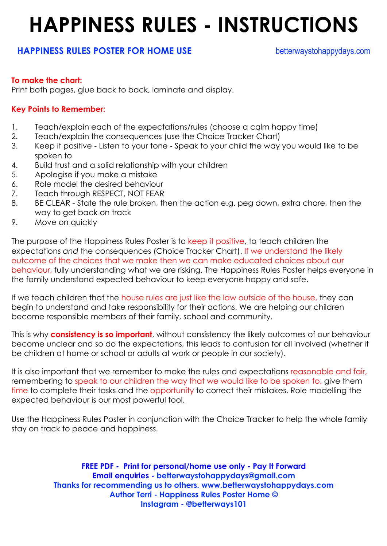### **HAPPINESS RULES - INSTRUCTIONS**

#### **HAPPINESS RULES POSTER FOR HOME USE** betterwaystohappydays.com

#### **To make the chart:**

Print both pages, glue back to back, laminate and display.

#### **Key Points to Remember:**

- 1. Teach/explain each of the expectations/rules (choose a calm happy time)
- 2. Teach/explain the consequences (use the Choice Tracker Chart)
- 3. Keep it positive Listen to your tone Speak to your child the way you would like to be spoken to
- 4. Build trust and a solid relationship with your children
- 5. Apologise if you make a mistake
- 6. Role model the desired behaviour
- 7. Teach through RESPECT, NOT FEAR
- 8. BE CLEAR State the rule broken, then the action e.g. peg down, extra chore, then the way to get back on track
- 9. Move on quickly

The purpose of the Happiness Rules Poster is to keep it positive, to teach children the expectations *and* the consequences (Choice Tracker Chart). If we understand the likely outcome of the choices that we make then we can make educated choices about our behaviour, fully understanding what we are risking. The Happiness Rules Poster helps everyone in the family understand expected behaviour to keep everyone happy and safe.

If we teach children that the house rules are just like the law outside of the house, they can begin to understand and take responsibility for their actions. We are helping our children become responsible members of their family, school and community.

This is why **consistency is so important**, without consistency the likely outcomes of our behaviour become unclear and so do the expectations, this leads to confusion for all involved (whether it be children at home or school or adults at work or people in our society).

It is also important that we remember to make the rules and expectations reasonable and fair, remembering to speak to our children the way that we would like to be spoken to, give them time to complete their tasks and the opportunity to correct their mistakes. Role modelling the expected behaviour is our most powerful tool.

Use the Happiness Rules Poster in conjunction with the Choice Tracker to help the whole family stay on track to peace and happiness.

> **FREE PDF - Print for personal/home use only - Pay It Forward Email enquiries - betterwaystohappydays@gmail.com Thanks for recommending us to others. www.betterwaystohappydays.com Author Terri - Happiness Rules Poster Home © Instagram - @betterways101**